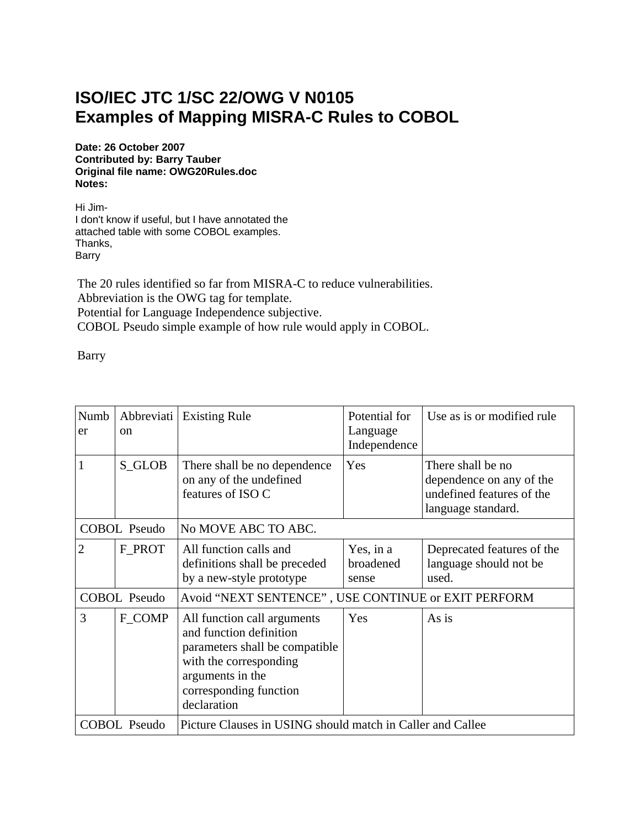## **ISO/IEC JTC 1/SC 22/OWG V N0105 Examples of Mapping MISRA-C Rules to COBOL**

**Date: 26 October 2007 Contributed by: Barry Tauber Original file name: OWG20Rules.doc Notes:**

Hi Jim-I don't know if useful, but I have annotated the attached table with some COBOL examples. Thanks, Barry

The 20 rules identified so far from MISRA-C to reduce vulnerabilities. Abbreviation is the OWG tag for template. Potential for Language Independence subjective. COBOL Pseudo simple example of how rule would apply in COBOL.

Barry

| Numb<br>er          | Abbreviati<br><sub>on</sub> | <b>Existing Rule</b>                                                                                                                                                             | Potential for<br>Language<br>Independence | Use as is or modified rule                                                                       |  |
|---------------------|-----------------------------|----------------------------------------------------------------------------------------------------------------------------------------------------------------------------------|-------------------------------------------|--------------------------------------------------------------------------------------------------|--|
|                     | S_GLOB                      | There shall be no dependence<br>on any of the undefined<br>features of ISO C                                                                                                     | Yes                                       | There shall be no<br>dependence on any of the<br>undefined features of the<br>language standard. |  |
| <b>COBOL Pseudo</b> |                             | No MOVE ABC TO ABC.                                                                                                                                                              |                                           |                                                                                                  |  |
| $\overline{2}$      | F_PROT                      | All function calls and<br>definitions shall be preceded<br>by a new-style prototype                                                                                              | Yes, in a<br>broadened<br>sense           | Deprecated features of the<br>language should not be<br>used.                                    |  |
| <b>COBOL Pseudo</b> |                             | Avoid "NEXT SENTENCE", USE CONTINUE or EXIT PERFORM                                                                                                                              |                                           |                                                                                                  |  |
| 3                   | F_COMP                      | All function call arguments<br>and function definition<br>parameters shall be compatible.<br>with the corresponding<br>arguments in the<br>corresponding function<br>declaration | Yes                                       | As is                                                                                            |  |
| COBOL Pseudo        |                             | Picture Clauses in USING should match in Caller and Callee                                                                                                                       |                                           |                                                                                                  |  |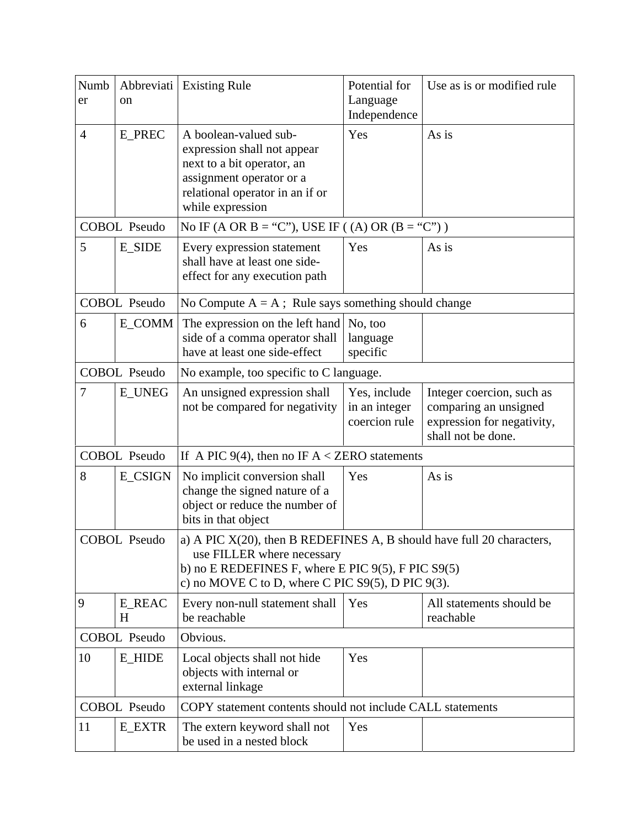| Numb<br>er                                                                        | Abbreviati<br>on    | <b>Existing Rule</b>                                                                                                                                                                                                         | Potential for<br>Language<br>Independence      | Use as is or modified rule                                                                             |  |  |
|-----------------------------------------------------------------------------------|---------------------|------------------------------------------------------------------------------------------------------------------------------------------------------------------------------------------------------------------------------|------------------------------------------------|--------------------------------------------------------------------------------------------------------|--|--|
| $\overline{4}$                                                                    | <b>E_PREC</b>       | A boolean-valued sub-<br>expression shall not appear<br>next to a bit operator, an<br>assignment operator or a<br>relational operator in an if or<br>while expression                                                        | Yes                                            | As is                                                                                                  |  |  |
|                                                                                   | <b>COBOL Pseudo</b> | No IF (A OR B = "C"), USE IF ((A) OR (B = "C"))                                                                                                                                                                              |                                                |                                                                                                        |  |  |
| 5                                                                                 | <b>E_SIDE</b>       | Every expression statement<br>shall have at least one side-<br>effect for any execution path                                                                                                                                 | Yes                                            | As is                                                                                                  |  |  |
|                                                                                   | <b>COBOL Pseudo</b> | No Compute $A = A$ ; Rule says something should change                                                                                                                                                                       |                                                |                                                                                                        |  |  |
| 6                                                                                 | E_COMM              | The expression on the left hand<br>side of a comma operator shall<br>have at least one side-effect                                                                                                                           | No, too<br>language<br>specific                |                                                                                                        |  |  |
| <b>COBOL Pseudo</b>                                                               |                     | No example, too specific to C language.                                                                                                                                                                                      |                                                |                                                                                                        |  |  |
| 7                                                                                 | <b>E_UNEG</b>       | An unsigned expression shall<br>not be compared for negativity                                                                                                                                                               | Yes, include<br>in an integer<br>coercion rule | Integer coercion, such as<br>comparing an unsigned<br>expression for negativity,<br>shall not be done. |  |  |
| <b>COBOL Pseudo</b><br>If A PIC 9(4), then no IF $A <$ ZERO statements            |                     |                                                                                                                                                                                                                              |                                                |                                                                                                        |  |  |
| 8                                                                                 | E_CSIGN             | No implicit conversion shall<br>change the signed nature of a<br>object or reduce the number of<br>bits in that object                                                                                                       | Yes                                            | As is                                                                                                  |  |  |
| <b>COBOL Pseudo</b>                                                               |                     | a) A PIC $X(20)$ , then B REDEFINES A, B should have full 20 characters,<br>use FILLER where necessary<br>b) no E REDEFINES F, where E PIC $9(5)$ , F PIC $S9(5)$<br>c) no MOVE C to D, where C PIC $S9(5)$ , D PIC $9(3)$ . |                                                |                                                                                                        |  |  |
| 9                                                                                 | <b>E_REAC</b><br>H  | Every non-null statement shall<br>be reachable                                                                                                                                                                               | Yes                                            | All statements should be<br>reachable                                                                  |  |  |
| <b>COBOL Pseudo</b>                                                               |                     | Obvious.                                                                                                                                                                                                                     |                                                |                                                                                                        |  |  |
| 10                                                                                | <b>E_HIDE</b>       | Local objects shall not hide<br>objects with internal or<br>external linkage                                                                                                                                                 | Yes                                            |                                                                                                        |  |  |
| <b>COBOL Pseudo</b><br>COPY statement contents should not include CALL statements |                     |                                                                                                                                                                                                                              |                                                |                                                                                                        |  |  |
| 11                                                                                | <b>E_EXTR</b>       | The extern keyword shall not<br>be used in a nested block                                                                                                                                                                    | Yes                                            |                                                                                                        |  |  |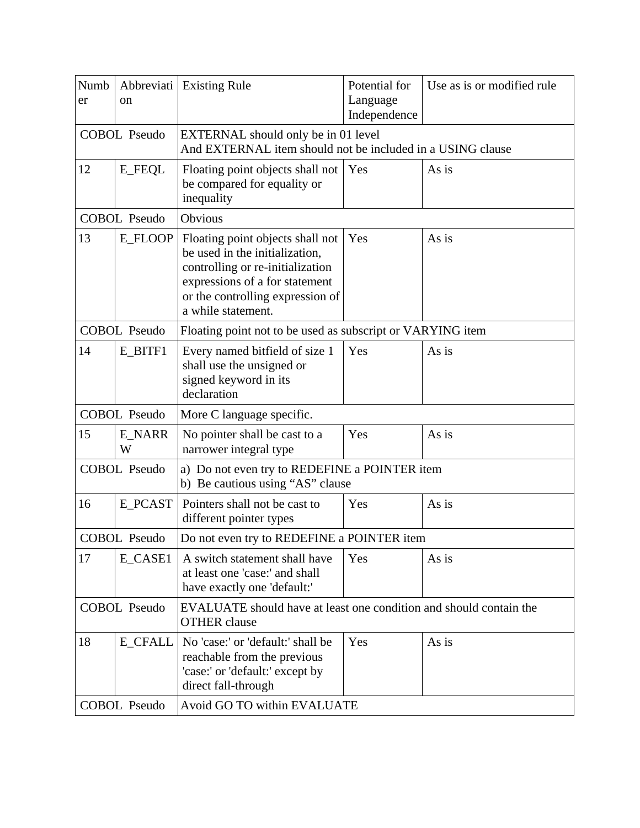| Numb<br>er          | Abbreviati<br>on | <b>Existing Rule</b>                                                                                                                                                                               | Potential for<br>Language<br>Independence | Use as is or modified rule |  |  |
|---------------------|------------------|----------------------------------------------------------------------------------------------------------------------------------------------------------------------------------------------------|-------------------------------------------|----------------------------|--|--|
| <b>COBOL Pseudo</b> |                  | EXTERNAL should only be in 01 level<br>And EXTERNAL item should not be included in a USING clause                                                                                                  |                                           |                            |  |  |
| 12                  | <b>E_FEQL</b>    | Floating point objects shall not<br>be compared for equality or<br>inequality                                                                                                                      | Yes                                       | As is                      |  |  |
| <b>COBOL Pseudo</b> |                  | Obvious                                                                                                                                                                                            |                                           |                            |  |  |
| 13                  | E_FLOOP          | Floating point objects shall not<br>be used in the initialization,<br>controlling or re-initialization<br>expressions of a for statement<br>or the controlling expression of<br>a while statement. | Yes                                       | As is                      |  |  |
| <b>COBOL Pseudo</b> |                  | Floating point not to be used as subscript or VARYING item                                                                                                                                         |                                           |                            |  |  |
| 14                  | E_BITF1          | Every named bitfield of size 1<br>shall use the unsigned or<br>signed keyword in its<br>declaration                                                                                                | Yes                                       | As is                      |  |  |
| <b>COBOL Pseudo</b> |                  | More C language specific.                                                                                                                                                                          |                                           |                            |  |  |
| 15                  | E_NARR<br>W      | No pointer shall be cast to a<br>narrower integral type                                                                                                                                            | Yes                                       | As is                      |  |  |
| <b>COBOL Pseudo</b> |                  | a) Do not even try to REDEFINE a POINTER item<br>b) Be cautious using "AS" clause                                                                                                                  |                                           |                            |  |  |
| 16                  | E_PCAST          | Pointers shall not be cast to<br>different pointer types                                                                                                                                           | Yes                                       | As is                      |  |  |
| COBOL Pseudo        |                  | Do not even try to REDEFINE a POINTER item                                                                                                                                                         |                                           |                            |  |  |
| 17                  | E_CASE1          | A switch statement shall have<br>at least one 'case:' and shall<br>have exactly one 'default:'                                                                                                     | Yes                                       | As is                      |  |  |
| <b>COBOL Pseudo</b> |                  | EVALUATE should have at least one condition and should contain the<br><b>OTHER</b> clause                                                                                                          |                                           |                            |  |  |
| 18                  | <b>E_CFALL</b>   | No 'case:' or 'default:' shall be<br>reachable from the previous<br>'case:' or 'default:' except by<br>direct fall-through                                                                         | Yes                                       | As is                      |  |  |
| <b>COBOL Pseudo</b> |                  | Avoid GO TO within EVALUATE                                                                                                                                                                        |                                           |                            |  |  |